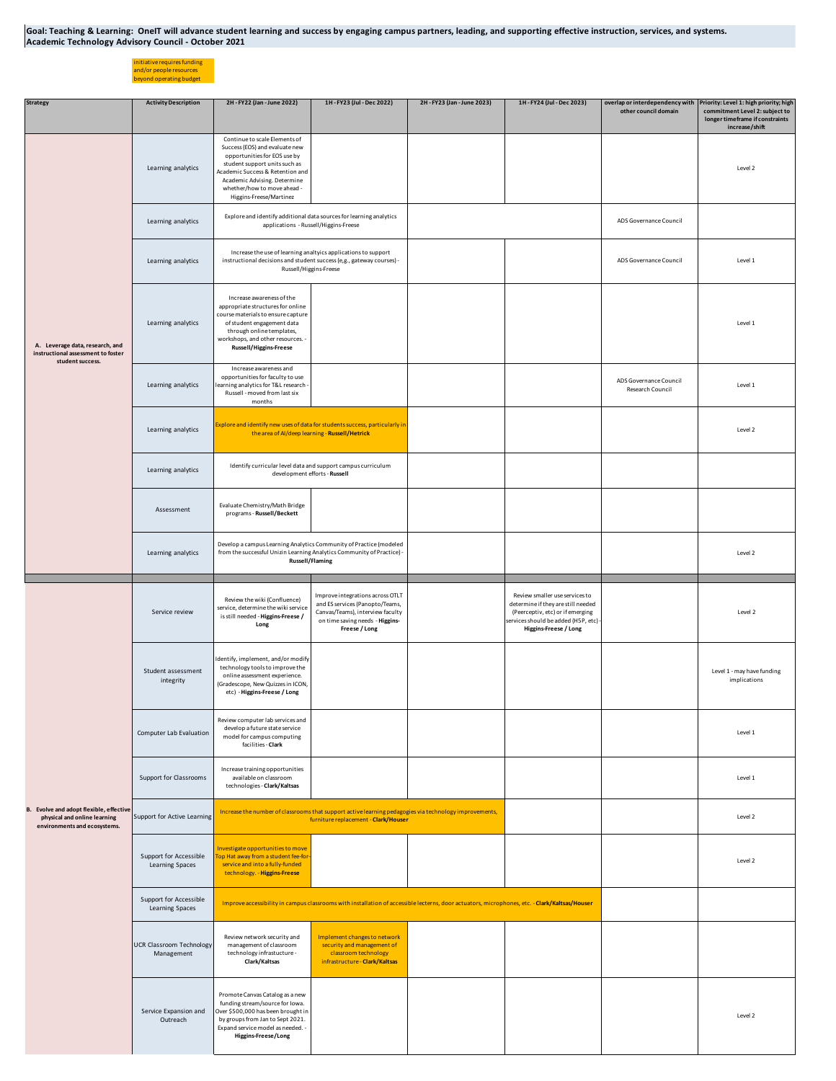Goal: Teaching & Learning: OneIT will advance student learning and success by engaging campus partners, leading, and supporting effective instruction, services, and systems. **Academic Technology Advisory Council - October 2021**

initiative requires funding and/or people resources beyond operating budget

| <b>Strategy</b>                                                                                         | <b>Activity Description</b>                   | 2H - FY22 (Jan - June 2022)                                                                                                                                                                                                                                    | 1H-FY23 (Jul-Dec 2022)                                                                                                                                      | 2H - FY23 (Jan - June 2023)                                                                                                                   | 1H-FY24 (Jul-Dec 2023)                                                                                                                                                     | other council domain                       | overlap or interdependency with Priority: Level 1: high priority; high<br>commitment Level 2: subject to |
|---------------------------------------------------------------------------------------------------------|-----------------------------------------------|----------------------------------------------------------------------------------------------------------------------------------------------------------------------------------------------------------------------------------------------------------------|-------------------------------------------------------------------------------------------------------------------------------------------------------------|-----------------------------------------------------------------------------------------------------------------------------------------------|----------------------------------------------------------------------------------------------------------------------------------------------------------------------------|--------------------------------------------|----------------------------------------------------------------------------------------------------------|
|                                                                                                         |                                               |                                                                                                                                                                                                                                                                |                                                                                                                                                             |                                                                                                                                               |                                                                                                                                                                            |                                            | longer timeframe if constraints<br>increase/shift                                                        |
| A. Leverage data, research, and<br>instructional assessment to foster<br>student success.               | Learning analytics                            | Continue to scale Elements of<br>Success (EOS) and evaluate new<br>opportunities for EOS use by<br>student support units such as<br>Academic Success & Retention and<br>Academic Advising. Determine<br>whether/how to move ahead -<br>Higgins-Freese/Martinez |                                                                                                                                                             |                                                                                                                                               |                                                                                                                                                                            |                                            | Level 2                                                                                                  |
|                                                                                                         | Learning analytics                            | Explore and identify additional data sources for learning analytics<br>applications - Russell/Higgins-Freese                                                                                                                                                   |                                                                                                                                                             |                                                                                                                                               |                                                                                                                                                                            | ADS Governance Council                     |                                                                                                          |
|                                                                                                         | Learning analytics                            | Increase the use of learning analtyics applications to support<br>instructional decisions and student success (e,g., gateway courses) -<br>Russell/Higgins-Freese                                                                                              |                                                                                                                                                             |                                                                                                                                               |                                                                                                                                                                            | ADS Governance Council                     | Level 1                                                                                                  |
|                                                                                                         | Learning analytics                            | Increase awareness of the<br>appropriate structures for online<br>course materials to ensure capture<br>of student engagement data<br>through online templates,<br>workshops, and other resources. -<br>Russell/Higgins-Freese                                 |                                                                                                                                                             |                                                                                                                                               |                                                                                                                                                                            |                                            | Level 1                                                                                                  |
|                                                                                                         | Learning analytics                            | Increase awareness and<br>opportunities for faculty to use<br>earning analytics for T&L research<br>Russell - moved from last six<br>months                                                                                                                    |                                                                                                                                                             |                                                                                                                                               |                                                                                                                                                                            | ADS Governance Council<br>Research Council | Level 1                                                                                                  |
|                                                                                                         | Learning analytics                            | Explore and identify new uses of data for students success, particularly in<br>the area of AI/deep learning - Russell/Hetrick                                                                                                                                  |                                                                                                                                                             |                                                                                                                                               |                                                                                                                                                                            |                                            | Level 2                                                                                                  |
|                                                                                                         | Learning analytics                            | Identify curricular level data and support campus curriculum<br>development efforts - Russell                                                                                                                                                                  |                                                                                                                                                             |                                                                                                                                               |                                                                                                                                                                            |                                            |                                                                                                          |
|                                                                                                         | Assessment                                    | Evaluate Chemistry/Math Bridge<br>programs - Russell/Beckett                                                                                                                                                                                                   |                                                                                                                                                             |                                                                                                                                               |                                                                                                                                                                            |                                            |                                                                                                          |
|                                                                                                         | Learning analytics                            | Develop a campus Learning Analytics Community of Practice (modeled<br>from the successful Unizin Learning Analytics Community of Practice) -<br>Russell/Flaming                                                                                                |                                                                                                                                                             |                                                                                                                                               |                                                                                                                                                                            |                                            | Level 2                                                                                                  |
|                                                                                                         |                                               |                                                                                                                                                                                                                                                                |                                                                                                                                                             |                                                                                                                                               |                                                                                                                                                                            |                                            |                                                                                                          |
| B. Evolve and adopt flexible, effective<br>physical and online learning<br>environments and ecosystems. | Service review                                | Review the wiki (Confluence)<br>service, determine the wiki service<br>is still needed - Higgins-Freese /<br>Long                                                                                                                                              | Improve integrations across OTLT<br>and ES services (Panopto/Teams,<br>Canvas/Teams), interview faculty<br>on time saving needs - Higgins-<br>Freese / Long |                                                                                                                                               | Review smaller use services to<br>determine if they are still needed<br>(Peerceptiv, etc) or if emerging<br>services should be added (H5P, etc) -<br>Higgins-Freese / Long |                                            | Level 2                                                                                                  |
|                                                                                                         | Student assessment<br>integrity               | Identify, implement, and/or modify<br>technology tools to improve the<br>online assessment experience.<br>(Gradescope, New Quizzes in ICON,<br>etc) - Higgins-Freese / Long                                                                                    |                                                                                                                                                             |                                                                                                                                               |                                                                                                                                                                            |                                            | Level 1 - may have funding<br>implications                                                               |
|                                                                                                         | Computer Lab Evaluation                       | Review computer lab services and<br>develop a future state service<br>model for campus computing<br>facilities - Clark                                                                                                                                         |                                                                                                                                                             |                                                                                                                                               |                                                                                                                                                                            |                                            | Level 1                                                                                                  |
|                                                                                                         | Support for Classrooms                        | Increase training opportunities<br>available on classroom<br>technologies - Clark/Kaltsas                                                                                                                                                                      |                                                                                                                                                             |                                                                                                                                               |                                                                                                                                                                            |                                            | Level 1                                                                                                  |
|                                                                                                         | Support for Active Learning                   |                                                                                                                                                                                                                                                                | Increase the number of classrooms that support active learning pedagogies via technology improvements,<br>furniture replacement - Clark/Houser              |                                                                                                                                               |                                                                                                                                                                            |                                            | Level 2                                                                                                  |
|                                                                                                         | Support for Accessible<br>Learning Spaces     | Investigate opportunities to move<br>op Hat away from a student fee-for<br>service and into a fully-funded<br>technology. - Higgins-Freese                                                                                                                     |                                                                                                                                                             |                                                                                                                                               |                                                                                                                                                                            |                                            | Level 2                                                                                                  |
|                                                                                                         | Support for Accessible<br>Learning Spaces     |                                                                                                                                                                                                                                                                |                                                                                                                                                             | Improve accessibility in campus classrooms with installation of accessible lecterns, door actuators, microphones, etc. - Clark/Kaltsas/Houser |                                                                                                                                                                            |                                            |                                                                                                          |
|                                                                                                         | <b>UCR Classroom Technology</b><br>Management | Review network security and<br>management of classroom<br>technology infrastucture -<br>Clark/Kaltsas                                                                                                                                                          | Implement changes to network<br>security and management of<br>classroom technology<br>infrastructure - Clark/Kaltsas                                        |                                                                                                                                               |                                                                                                                                                                            |                                            |                                                                                                          |
|                                                                                                         | Service Expansion and<br>Outreach             | Promote Canvas Catalog as a new<br>funding stream/source for Iowa.<br>Over \$500,000 has been brought in<br>by groups from Jan to Sept 2021.<br>Expand service model as needed. -<br>Higgins-Freese/Long                                                       |                                                                                                                                                             |                                                                                                                                               |                                                                                                                                                                            |                                            | Level 2                                                                                                  |